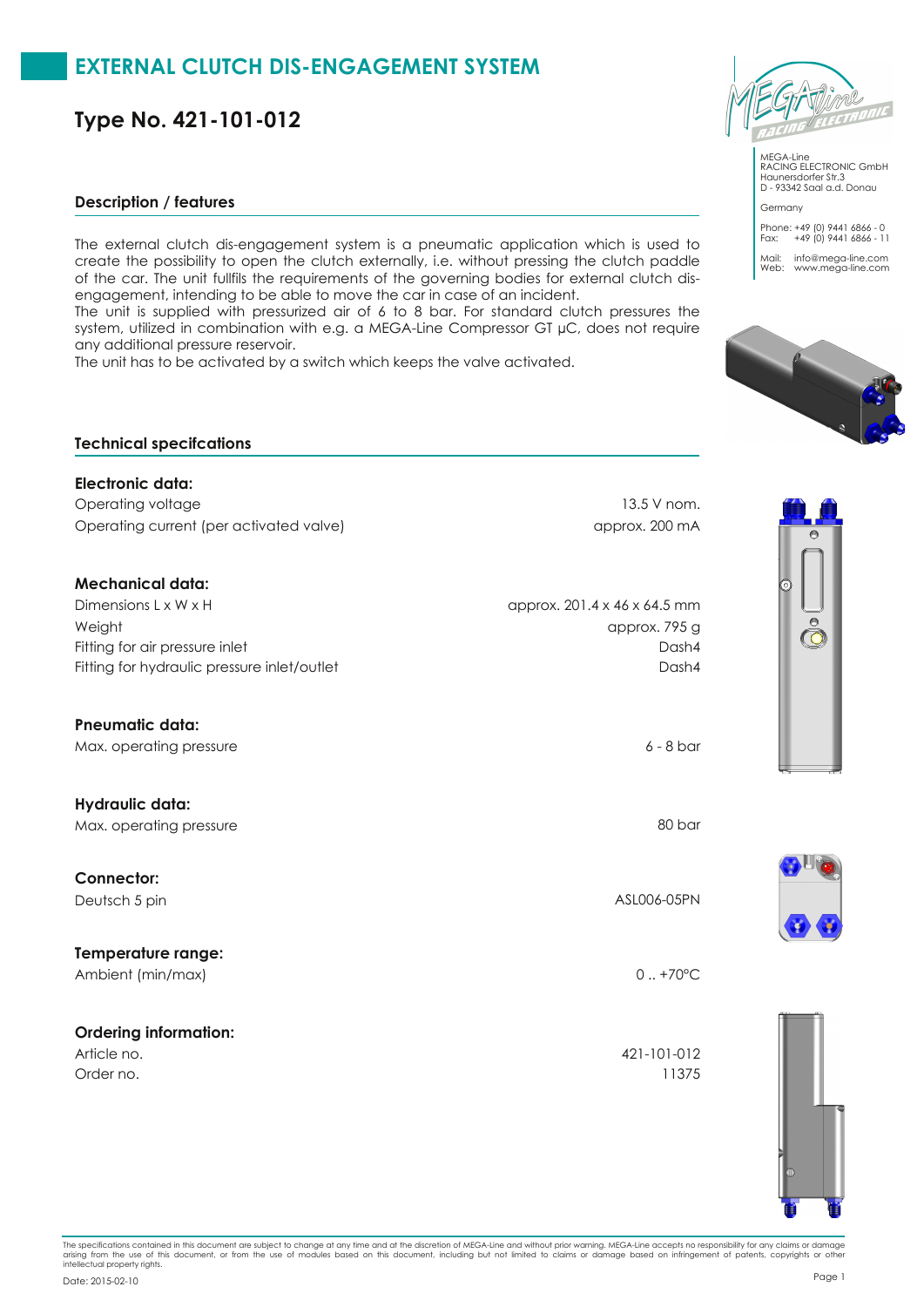**Type No. 421-101-012**

#### **Description / features**

The external clutch dis-engagement system is a pneumatic application which is used to create the possibility to open the clutch externally, i.e. without pressing the clutch paddle of the car. The unit fullfils the requirements of the governing bodies for external clutch disengagement, intending to be able to move the car in case of an incident.

The unit is supplied with pressurized air of 6 to 8 bar. For standard clutch pressures the system, utilized in combination with e.g. a MEGA-Line Compressor GT µC, does not require any additional pressure reservoir.

The unit has to be activated by a switch which keeps the valve activated.

# **Technical specifcations**

### **Electronic data:**

Operating voltage 13.5 V nom. Operating current (per activated valve) approx. 200 mA

### **Mechanical data:**

Dimensions L x W x H approx. 201.4 x 46 x 64.5 mm Fitting for air pressure inlet Dash4 Weight approx. 795 g Fitting for hydraulic pressure inlet/outlet Dash4

#### **Pneumatic data:**

Max. operating pressure 6 - 8 bar

**Hydraulic data:** Max. operating pressure 80 bar and the state of the state of the state  $80$  bar and  $80$  bar

**Connector:**

### **Temperature range:**

Ambient (min/max) 0 ... +70°C

### **Ordering information:**

Order no. 11375

MEGA-Line RACING ELECTRONIC GmbH Haunersdorfer Str.3 D - 93342 Saal a.d. Donau

Germany Phone: +49 (0) 9441 6866 - 0 Fax: +49 (0) 9441 6866 - 11 Mail: info@mega-line.com Web: www.mega-line.com





Deutsch 5 pin ASL006-05PN

Article no. 421-101-012



The specifications contained in this document are subject to change at any time and the discretion of MEGA-Line and without prior warning. MEGA-Line accepts no responsibility for any claims or damage<br>arising from the use o

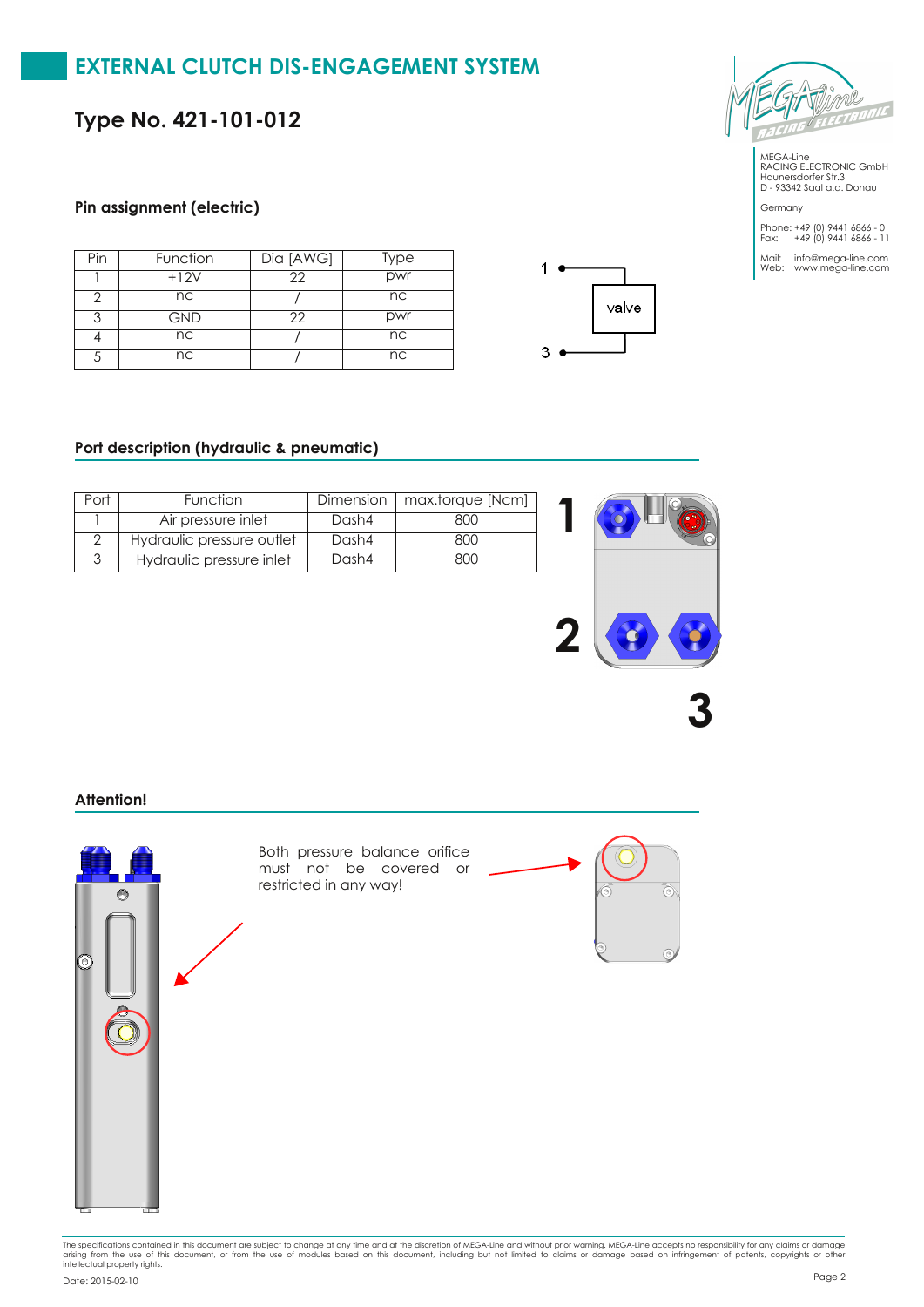**Type No. 421-101-012**

### **Pin assignment (electric)**

| Pin | Function   | $\overline{Di\alpha}$ [AWG] | Type |
|-----|------------|-----------------------------|------|
|     | $+12V$     | 22                          | pwr  |
|     | nc         |                             | nc   |
| っ   | <b>GND</b> | 22                          | pwr  |
|     | nc         |                             | nc   |
|     | nc         |                             | nc   |





MEGA-Line RACING ELECTRONIC GmbH Haunersdorfer Str.3 D - 93342 Saal a.d. Donau

Germany Phone: +49 (0) 9441 6866 - 0 Fax: +49 (0) 9441 6866 - 11

Mail: info@mega-line.com Web: www.mega-line.com

### **Port description (hydraulic & pneumatic)**

| Port | <b>Function</b>           |       | Dimension   max.torque [Ncm] |
|------|---------------------------|-------|------------------------------|
|      | Air pressure inlet        | Dash4 | 800                          |
|      | Hydraulic pressure outlet | Dash4 | 800                          |
|      | Hydraulic pressure inlet  | Dash4 | ווא                          |



**Attention!**



The specifications contained in this document are subject to change at any time and the discretion of MEGA-Line and without prior warning. MEGA-Line accepts no responsibility for any claims or damage<br>arising from the use o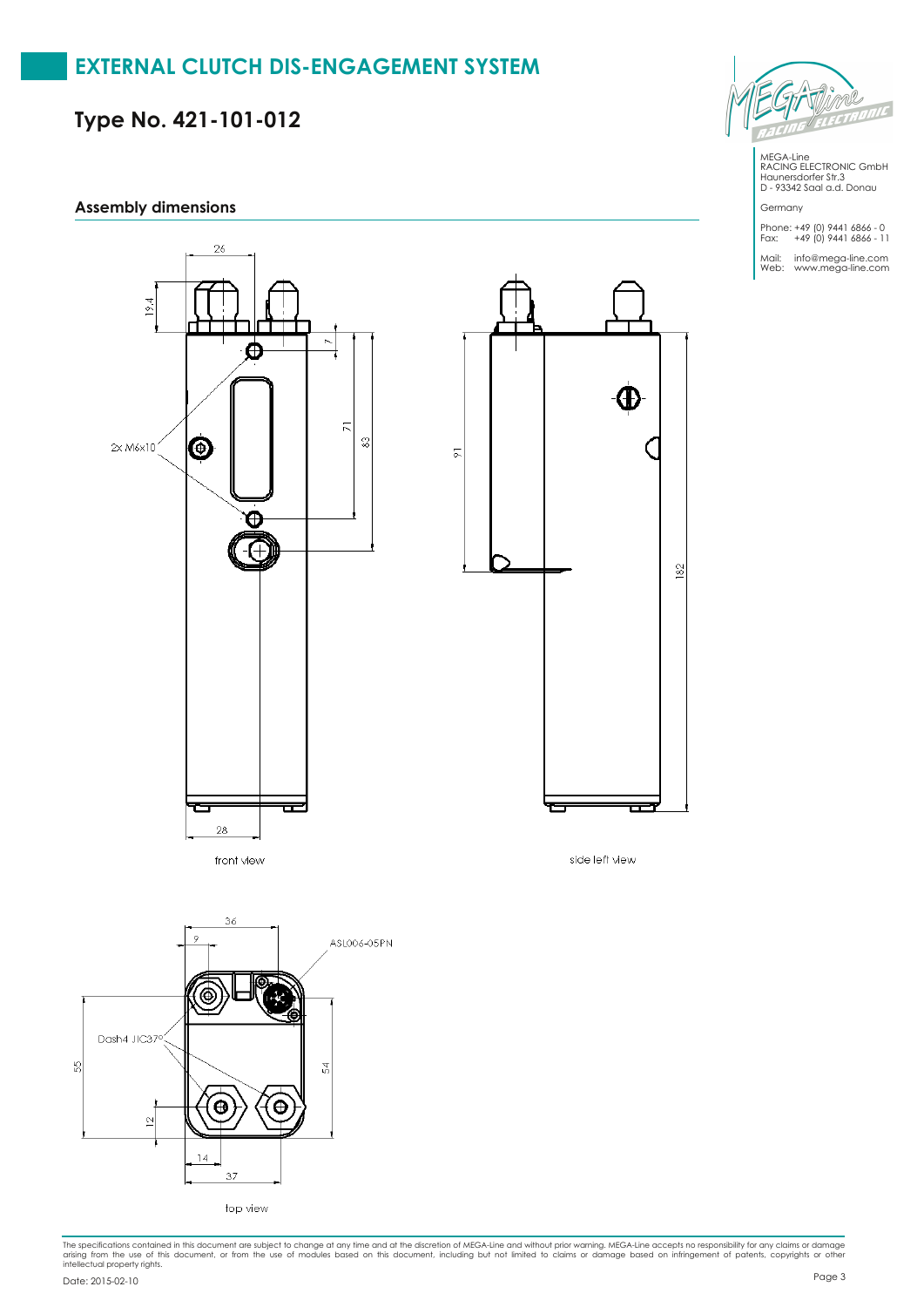**Type No. 421-101-012**

#### **Assembly dimensions**



front view



MEGA-Line RACING ELECTRONIC GmbH Haunersdorfer Str.3 D - 93342 Saal a.d. Donau

Germany Phone: +49 (0) 9441 6866 - 0 Fax: +49 (0) 9441 6866 - 11 Mail: info@mega-line.com Web: www.mega-line.com

side left view

The specifications contained in this document are subject to change at any time and the discretion of MEGA-Line and without prior warning. MEGA-Line accepts no responsibility for any claims or damage<br>arising from the use o